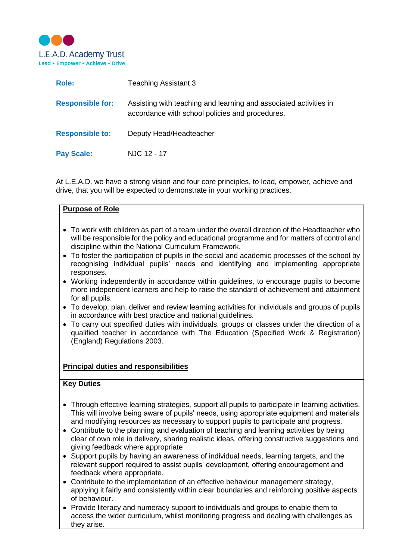

| Role:                   | <b>Teaching Assistant 3</b>                                                                                          |
|-------------------------|----------------------------------------------------------------------------------------------------------------------|
| <b>Responsible for:</b> | Assisting with teaching and learning and associated activities in<br>accordance with school policies and procedures. |
| <b>Responsible to:</b>  | Deputy Head/Headteacher                                                                                              |
| <b>Pay Scale:</b>       | NJC 12 - 17                                                                                                          |

At L.E.A.D. we have a strong vision and four core principles, to lead, empower, achieve and drive, that you will be expected to demonstrate in your working practices.

# **Purpose of Role**

- To work with children as part of a team under the overall direction of the Headteacher who will be responsible for the policy and educational programme and for matters of control and discipline within the National Curriculum Framework.
- To foster the participation of pupils in the social and academic processes of the school by recognising individual pupils' needs and identifying and implementing appropriate responses.
- Working independently in accordance within guidelines, to encourage pupils to become more independent learners and help to raise the standard of achievement and attainment for all pupils.
- To develop, plan, deliver and review learning activities for individuals and groups of pupils in accordance with best practice and national guidelines.
- To carry out specified duties with individuals, groups or classes under the direction of a qualified teacher in accordance with The Education (Specified Work & Registration) (England) Regulations 2003.

#### **Principal duties and responsibilities**

## **Key Duties**

- Through effective learning strategies, support all pupils to participate in learning activities. This will involve being aware of pupils' needs, using appropriate equipment and materials and modifying resources as necessary to support pupils to participate and progress.
- Contribute to the planning and evaluation of teaching and learning activities by being clear of own role in delivery, sharing realistic ideas, offering constructive suggestions and giving feedback where appropriate
- Support pupils by having an awareness of individual needs, learning targets, and the relevant support required to assist pupils' development, offering encouragement and feedback where appropriate.
- Contribute to the implementation of an effective behaviour management strategy, applying it fairly and consistently within clear boundaries and reinforcing positive aspects of behaviour.
- Provide literacy and numeracy support to individuals and groups to enable them to access the wider curriculum, whilst monitoring progress and dealing with challenges as they arise.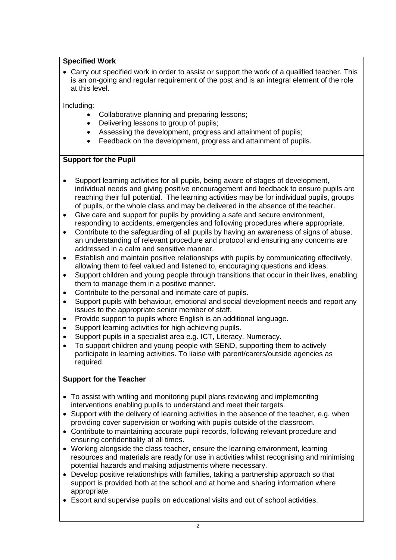# **Specified Work**

 Carry out specified work in order to assist or support the work of a qualified teacher. This is an on-going and regular requirement of the post and is an integral element of the role at this level.

Including:

- Collaborative planning and preparing lessons:
- Delivering lessons to group of pupils:
- Assessing the development, progress and attainment of pupils;
- Feedback on the development, progress and attainment of pupils.

# **Support for the Pupil**

- Support learning activities for all pupils, being aware of stages of development, individual needs and giving positive encouragement and feedback to ensure pupils are reaching their full potential. The learning activities may be for individual pupils, groups of pupils, or the whole class and may be delivered in the absence of the teacher.
- Give care and support for pupils by providing a safe and secure environment, responding to accidents, emergencies and following procedures where appropriate.
- Contribute to the safeguarding of all pupils by having an awareness of signs of abuse, an understanding of relevant procedure and protocol and ensuring any concerns are addressed in a calm and sensitive manner.
- Establish and maintain positive relationships with pupils by communicating effectively, allowing them to feel valued and listened to, encouraging questions and ideas.
- Support children and young people through transitions that occur in their lives, enabling them to manage them in a positive manner.
- Contribute to the personal and intimate care of pupils.
- Support pupils with behaviour, emotional and social development needs and report any issues to the appropriate senior member of staff.
- Provide support to pupils where English is an additional language.
- Support learning activities for high achieving pupils.
- Support pupils in a specialist area e.g. ICT, Literacy, Numeracy.
- To support children and young people with SEND, supporting them to actively participate in learning activities. To liaise with parent/carers/outside agencies as required.

#### **Support for the Teacher**

- To assist with writing and monitoring pupil plans reviewing and implementing interventions enabling pupils to understand and meet their targets.
- Support with the delivery of learning activities in the absence of the teacher, e.g. when providing cover supervision or working with pupils outside of the classroom.
- Contribute to maintaining accurate pupil records, following relevant procedure and ensuring confidentiality at all times.
- Working alongside the class teacher, ensure the learning environment, learning resources and materials are ready for use in activities whilst recognising and minimising potential hazards and making adjustments where necessary.
- Develop positive relationships with families, taking a partnership approach so that support is provided both at the school and at home and sharing information where appropriate.
- Escort and supervise pupils on educational visits and out of school activities.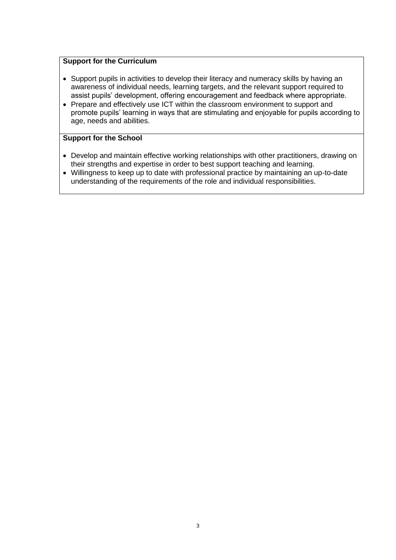#### **Support for the Curriculum**

- Support pupils in activities to develop their literacy and numeracy skills by having an awareness of individual needs, learning targets, and the relevant support required to assist pupils' development, offering encouragement and feedback where appropriate.
- Prepare and effectively use ICT within the classroom environment to support and promote pupils' learning in ways that are stimulating and enjoyable for pupils according to age, needs and abilities.

## **Support for the School**

- Develop and maintain effective working relationships with other practitioners, drawing on their strengths and expertise in order to best support teaching and learning.
- Willingness to keep up to date with professional practice by maintaining an up-to-date understanding of the requirements of the role and individual responsibilities.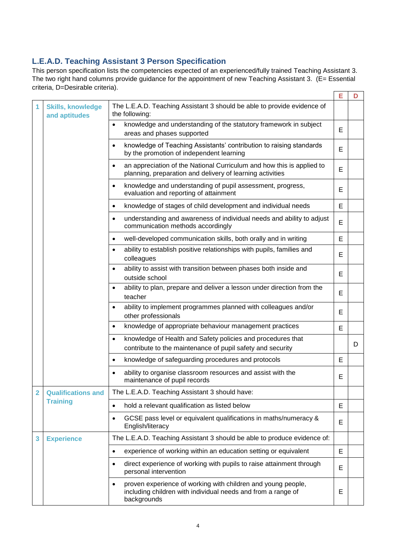# **L.E.A.D. Teaching Assistant 3 Person Specification**

This person specification lists the competencies expected of an experienced/fully trained Teaching Assistant 3. The two right hand columns provide guidance for the appointment of new Teaching Assistant 3. (E= Essential criteria, D=Desirable criteria).  $E = 1$ 

|                |                                              |                                                                                                                                                          | Е | D |
|----------------|----------------------------------------------|----------------------------------------------------------------------------------------------------------------------------------------------------------|---|---|
| 1              | <b>Skills, knowledge</b><br>and aptitudes    | The L.E.A.D. Teaching Assistant 3 should be able to provide evidence of<br>the following:                                                                |   |   |
|                |                                              | knowledge and understanding of the statutory framework in subject<br>$\bullet$<br>areas and phases supported                                             | E |   |
|                |                                              | knowledge of Teaching Assistants' contribution to raising standards<br>$\bullet$<br>by the promotion of independent learning                             | E |   |
|                |                                              | an appreciation of the National Curriculum and how this is applied to<br>planning, preparation and delivery of learning activities                       | E |   |
|                |                                              | knowledge and understanding of pupil assessment, progress,<br>$\bullet$<br>evaluation and reporting of attainment                                        | E |   |
|                |                                              | knowledge of stages of child development and individual needs<br>$\bullet$                                                                               | E |   |
|                |                                              | understanding and awareness of individual needs and ability to adjust<br>$\bullet$<br>communication methods accordingly                                  | E |   |
|                |                                              | well-developed communication skills, both orally and in writing<br>$\bullet$                                                                             | Е |   |
|                |                                              | ability to establish positive relationships with pupils, families and<br>$\bullet$<br>colleagues                                                         | E |   |
|                |                                              | ability to assist with transition between phases both inside and<br>$\bullet$<br>outside school                                                          | E |   |
|                |                                              | ability to plan, prepare and deliver a lesson under direction from the<br>$\bullet$<br>teacher                                                           | E |   |
|                |                                              | ability to implement programmes planned with colleagues and/or<br>$\bullet$<br>other professionals                                                       | Е |   |
|                |                                              | knowledge of appropriate behaviour management practices                                                                                                  | E |   |
|                |                                              | knowledge of Health and Safety policies and procedures that<br>$\bullet$<br>contribute to the maintenance of pupil safety and security                   |   | D |
|                |                                              | knowledge of safeguarding procedures and protocols<br>$\bullet$                                                                                          | Е |   |
|                |                                              | ability to organise classroom resources and assist with the<br>$\bullet$<br>maintenance of pupil records                                                 | E |   |
| $\overline{2}$ | <b>Qualifications and</b><br><b>Training</b> | The L.E.A.D. Teaching Assistant 3 should have:                                                                                                           |   |   |
|                |                                              | hold a relevant qualification as listed below<br>$\bullet$                                                                                               | E |   |
|                |                                              | GCSE pass level or equivalent qualifications in maths/numeracy &<br>$\bullet$<br>English/literacy                                                        | E |   |
| 3              | <b>Experience</b>                            | The L.E.A.D. Teaching Assistant 3 should be able to produce evidence of:                                                                                 |   |   |
|                |                                              | experience of working within an education setting or equivalent<br>$\bullet$                                                                             | Е |   |
|                |                                              | direct experience of working with pupils to raise attainment through<br>$\bullet$<br>personal intervention                                               | E |   |
|                |                                              | proven experience of working with children and young people,<br>$\bullet$<br>including children with individual needs and from a range of<br>backgrounds | Е |   |